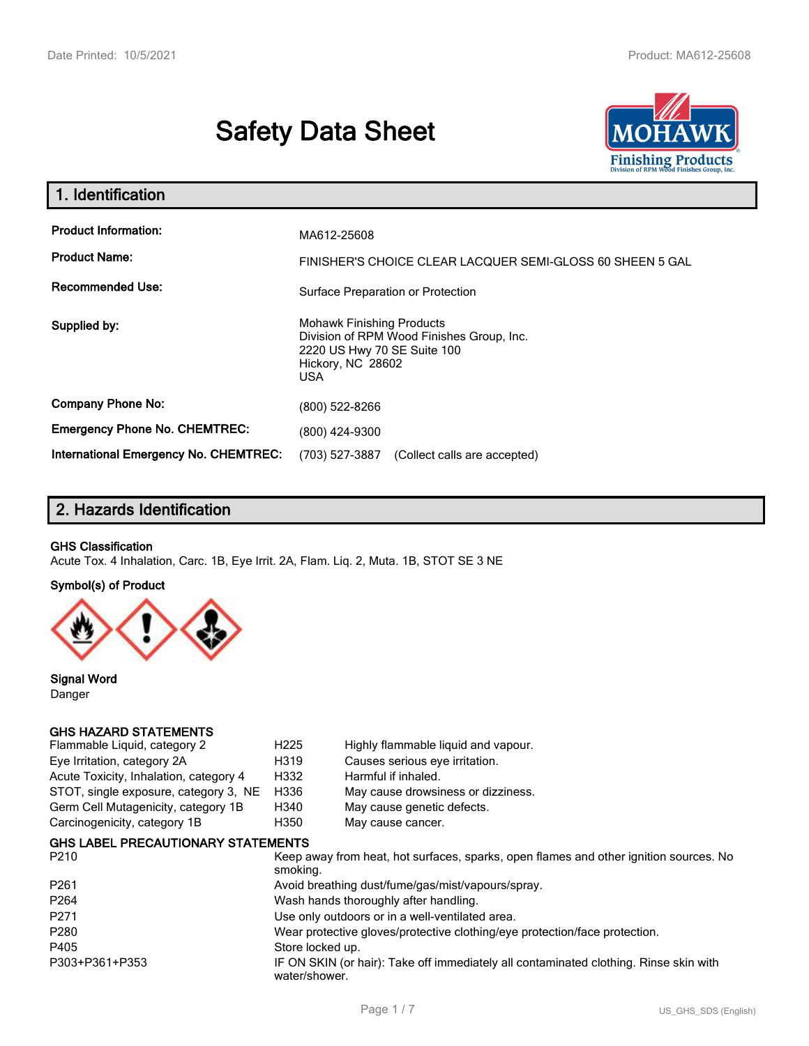# **Safety Data Sheet**



| 1. Identification                                                              |                                                                                                                                          |  |
|--------------------------------------------------------------------------------|------------------------------------------------------------------------------------------------------------------------------------------|--|
| <b>Product Information:</b><br><b>Product Name:</b><br><b>Recommended Use:</b> | MA612-25608<br>FINISHER'S CHOICE CLEAR LACQUER SEMI-GLOSS 60 SHEEN 5 GAL<br>Surface Preparation or Protection                            |  |
| Supplied by:                                                                   | <b>Mohawk Finishing Products</b><br>Division of RPM Wood Finishes Group, Inc.<br>2220 US Hwy 70 SE Suite 100<br>Hickory, NC 28602<br>USA |  |
| <b>Company Phone No:</b>                                                       | (800) 522-8266                                                                                                                           |  |
| <b>Emergency Phone No. CHEMTREC:</b>                                           | (800) 424-9300                                                                                                                           |  |
| International Emergency No. CHEMTREC:                                          | (703) 527-3887<br>(Collect calls are accepted)                                                                                           |  |

# **2. Hazards Identification**

#### **GHS Classification**

Acute Tox. 4 Inhalation, Carc. 1B, Eye Irrit. 2A, Flam. Liq. 2, Muta. 1B, STOT SE 3 NE

#### **Symbol(s) of Product**



**Signal Word** Danger

#### **GHS HAZARD STATEMENTS**

| Flammable Liquid, category 2           | H <sub>225</sub> | Highly flammable liquid and vapour. |
|----------------------------------------|------------------|-------------------------------------|
| Eye Irritation, category 2A            | H319             | Causes serious eye irritation.      |
| Acute Toxicity, Inhalation, category 4 | H332             | Harmful if inhaled.                 |
| STOT, single exposure, category 3, NE  | H336             | May cause drowsiness or dizziness.  |
| Germ Cell Mutagenicity, category 1B    | H340             | May cause genetic defects.          |
| Carcinogenicity, category 1B           | H350             | May cause cancer.                   |
|                                        |                  |                                     |

#### **GHS LABEL PRECAUTIONARY STATEMENTS**

| P <sub>210</sub> | Keep away from heat, hot surfaces, sparks, open flames and other ignition sources. No<br>smoking.      |
|------------------|--------------------------------------------------------------------------------------------------------|
| P <sub>261</sub> | Avoid breathing dust/fume/gas/mist/vapours/spray.                                                      |
| P <sub>264</sub> | Wash hands thoroughly after handling.                                                                  |
| P <sub>271</sub> | Use only outdoors or in a well-ventilated area.                                                        |
| P280             | Wear protective gloves/protective clothing/eye protection/face protection.                             |
| P405             | Store locked up.                                                                                       |
| P303+P361+P353   | IF ON SKIN (or hair): Take off immediately all contaminated clothing. Rinse skin with<br>water/shower. |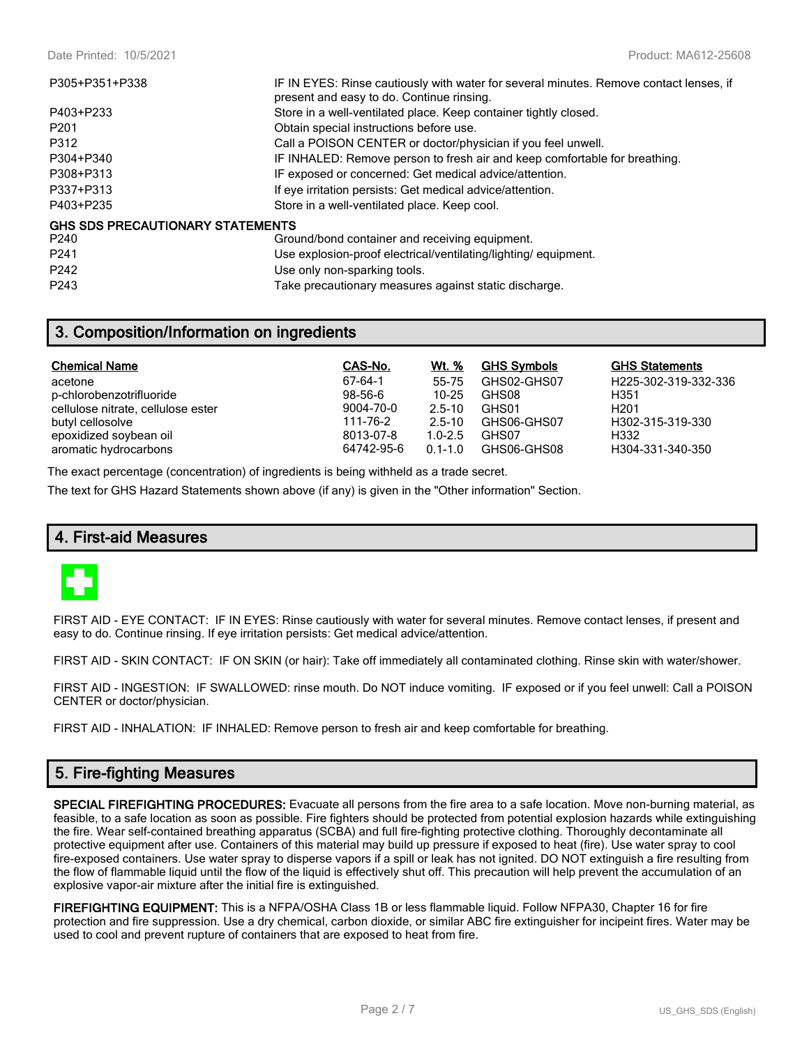| P305+P351+P338                   | IF IN EYES: Rinse cautiously with water for several minutes. Remove contact lenses, if<br>present and easy to do. Continue rinsing. |
|----------------------------------|-------------------------------------------------------------------------------------------------------------------------------------|
| P403+P233                        | Store in a well-ventilated place. Keep container tightly closed.                                                                    |
| P <sub>201</sub>                 | Obtain special instructions before use.                                                                                             |
| P312                             | Call a POISON CENTER or doctor/physician if you feel unwell.                                                                        |
| P304+P340                        | IF INHALED: Remove person to fresh air and keep comfortable for breathing.                                                          |
| P308+P313                        | IF exposed or concerned: Get medical advice/attention.                                                                              |
| P337+P313                        | If eye irritation persists: Get medical advice/attention.                                                                           |
| P403+P235                        | Store in a well-ventilated place. Keep cool.                                                                                        |
| GHS SDS PRECAUTIONARY STATEMENTS |                                                                                                                                     |
| P <sub>240</sub>                 | Ground/bond container and receiving equipment.                                                                                      |
| P <sub>241</sub>                 | Use explosion-proof electrical/ventilating/lighting/equipment.                                                                      |
| P <sub>242</sub>                 | Use only non-sparking tools.                                                                                                        |

**3. Composition/Information on ingredients**

P243 Take precautionary measures against static discharge.

| <b>Chemical Name</b>               | CAS-No.    | Wt. %       | <b>GHS Symbols</b> | <b>GHS Statements</b> |
|------------------------------------|------------|-------------|--------------------|-----------------------|
| acetone                            | 67-64-1    | 55-75       | GHS02-GHS07        | H225-302-319-332-336  |
| p-chlorobenzotrifluoride           | $98-56-6$  | 10-25       | GHS08              | H351                  |
| cellulose nitrate, cellulose ester | 9004-70-0  | $2.5 - 10$  | GHS01              | H <sub>201</sub>      |
| butyl cellosolve                   | 111-76-2   | $2.5 - 10$  | GHS06-GHS07        | H302-315-319-330      |
| epoxidized soybean oil             | 8013-07-8  | $1.0 - 2.5$ | GHS07              | H332                  |
| aromatic hydrocarbons              | 64742-95-6 | $0.1 - 1.0$ | GHS06-GHS08        | H304-331-340-350      |

The exact percentage (concentration) of ingredients is being withheld as a trade secret.

The text for GHS Hazard Statements shown above (if any) is given in the "Other information" Section.

## **4. First-aid Measures**



FIRST AID - EYE CONTACT: IF IN EYES: Rinse cautiously with water for several minutes. Remove contact lenses, if present and easy to do. Continue rinsing. If eye irritation persists: Get medical advice/attention.

FIRST AID - SKIN CONTACT: IF ON SKIN (or hair): Take off immediately all contaminated clothing. Rinse skin with water/shower.

FIRST AID - INGESTION: IF SWALLOWED: rinse mouth. Do NOT induce vomiting. IF exposed or if you feel unwell: Call a POISON CENTER or doctor/physician.

FIRST AID - INHALATION: IF INHALED: Remove person to fresh air and keep comfortable for breathing.

## **5. Fire-fighting Measures**

**SPECIAL FIREFIGHTING PROCEDURES:** Evacuate all persons from the fire area to a safe location. Move non-burning material, as feasible, to a safe location as soon as possible. Fire fighters should be protected from potential explosion hazards while extinguishing the fire. Wear self-contained breathing apparatus (SCBA) and full fire-fighting protective clothing. Thoroughly decontaminate all protective equipment after use. Containers of this material may build up pressure if exposed to heat (fire). Use water spray to cool fire-exposed containers. Use water spray to disperse vapors if a spill or leak has not ignited. DO NOT extinguish a fire resulting from the flow of flammable liquid until the flow of the liquid is effectively shut off. This precaution will help prevent the accumulation of an explosive vapor-air mixture after the initial fire is extinguished.

**FIREFIGHTING EQUIPMENT:** This is a NFPA/OSHA Class 1B or less flammable liquid. Follow NFPA30, Chapter 16 for fire protection and fire suppression. Use a dry chemical, carbon dioxide, or similar ABC fire extinguisher for incipeint fires. Water may be used to cool and prevent rupture of containers that are exposed to heat from fire.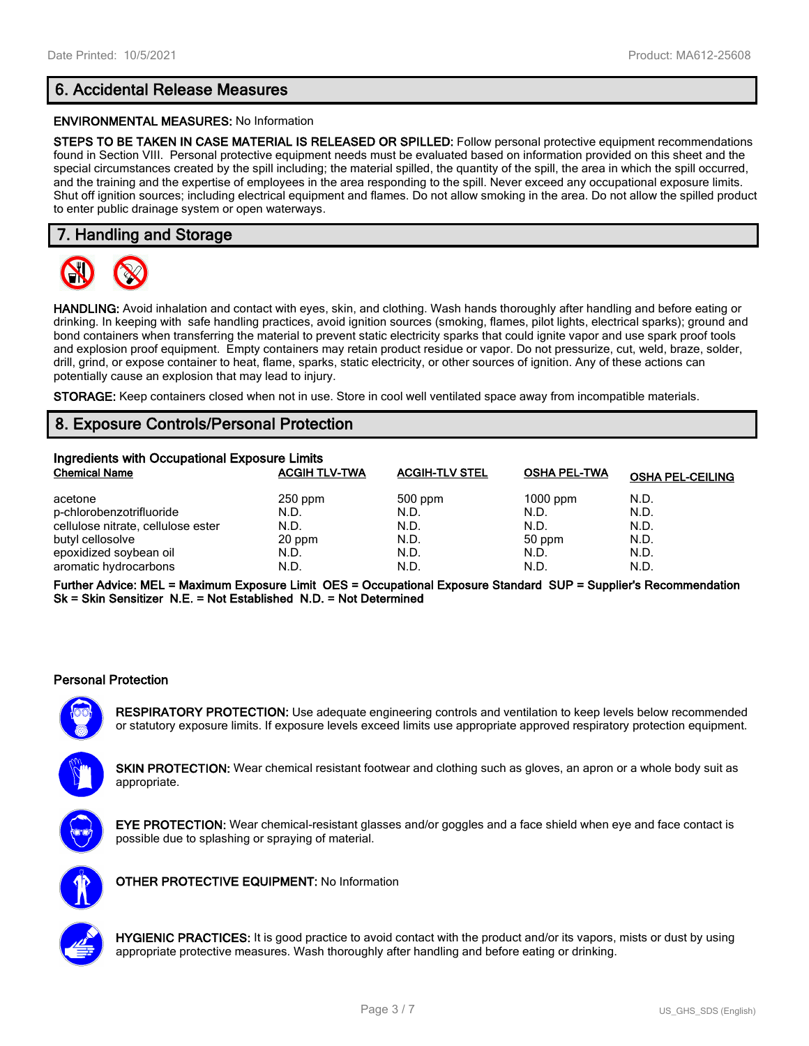# **6. Accidental Release Measures**

#### **ENVIRONMENTAL MEASURES:** No Information

**STEPS TO BE TAKEN IN CASE MATERIAL IS RELEASED OR SPILLED:** Follow personal protective equipment recommendations found in Section VIII. Personal protective equipment needs must be evaluated based on information provided on this sheet and the special circumstances created by the spill including; the material spilled, the quantity of the spill, the area in which the spill occurred, and the training and the expertise of employees in the area responding to the spill. Never exceed any occupational exposure limits. Shut off ignition sources; including electrical equipment and flames. Do not allow smoking in the area. Do not allow the spilled product to enter public drainage system or open waterways.

## **7. Handling and Storage**



**HANDLING:** Avoid inhalation and contact with eyes, skin, and clothing. Wash hands thoroughly after handling and before eating or drinking. In keeping with safe handling practices, avoid ignition sources (smoking, flames, pilot lights, electrical sparks); ground and bond containers when transferring the material to prevent static electricity sparks that could ignite vapor and use spark proof tools and explosion proof equipment. Empty containers may retain product residue or vapor. Do not pressurize, cut, weld, braze, solder, drill, grind, or expose container to heat, flame, sparks, static electricity, or other sources of ignition. Any of these actions can potentially cause an explosion that may lead to injury.

**STORAGE:** Keep containers closed when not in use. Store in cool well ventilated space away from incompatible materials.

## **8. Exposure Controls/Personal Protection**

| Ingredients with Occupational Exposure Limits |                      |                       |                     |                         |  |
|-----------------------------------------------|----------------------|-----------------------|---------------------|-------------------------|--|
| <b>Chemical Name</b>                          | <b>ACGIH TLV-TWA</b> | <b>ACGIH-TLV STEL</b> | <b>OSHA PEL-TWA</b> | <b>OSHA PEL-CEILING</b> |  |
| acetone                                       | $250$ ppm            | 500 ppm               | $1000$ ppm          | N.D.                    |  |
| p-chlorobenzotrifluoride                      | N.D.                 | N.D.                  | N.D.                | N.D.                    |  |
| cellulose nitrate, cellulose ester            | N.D.                 | N.D.                  | N.D.                | N.D.                    |  |
| butyl cellosolve                              | 20 ppm               | N.D.                  | 50 ppm              | N.D.                    |  |
| epoxidized soybean oil                        | N.D.                 | N.D.                  | N.D.                | N.D.                    |  |
| aromatic hydrocarbons                         | N.D.                 | N.D.                  | N.D.                | N.D.                    |  |

**Further Advice: MEL = Maximum Exposure Limit OES = Occupational Exposure Standard SUP = Supplier's Recommendation Sk = Skin Sensitizer N.E. = Not Established N.D. = Not Determined**

#### **Personal Protection**

**RESPIRATORY PROTECTION:** Use adequate engineering controls and ventilation to keep levels below recommended or statutory exposure limits. If exposure levels exceed limits use appropriate approved respiratory protection equipment.

**SKIN PROTECTION:** Wear chemical resistant footwear and clothing such as gloves, an apron or a whole body suit as appropriate.



**EYE PROTECTION:** Wear chemical-resistant glasses and/or goggles and a face shield when eye and face contact is possible due to splashing or spraying of material.



**OTHER PROTECTIVE EQUIPMENT:** No Information



**HYGIENIC PRACTICES:** It is good practice to avoid contact with the product and/or its vapors, mists or dust by using appropriate protective measures. Wash thoroughly after handling and before eating or drinking.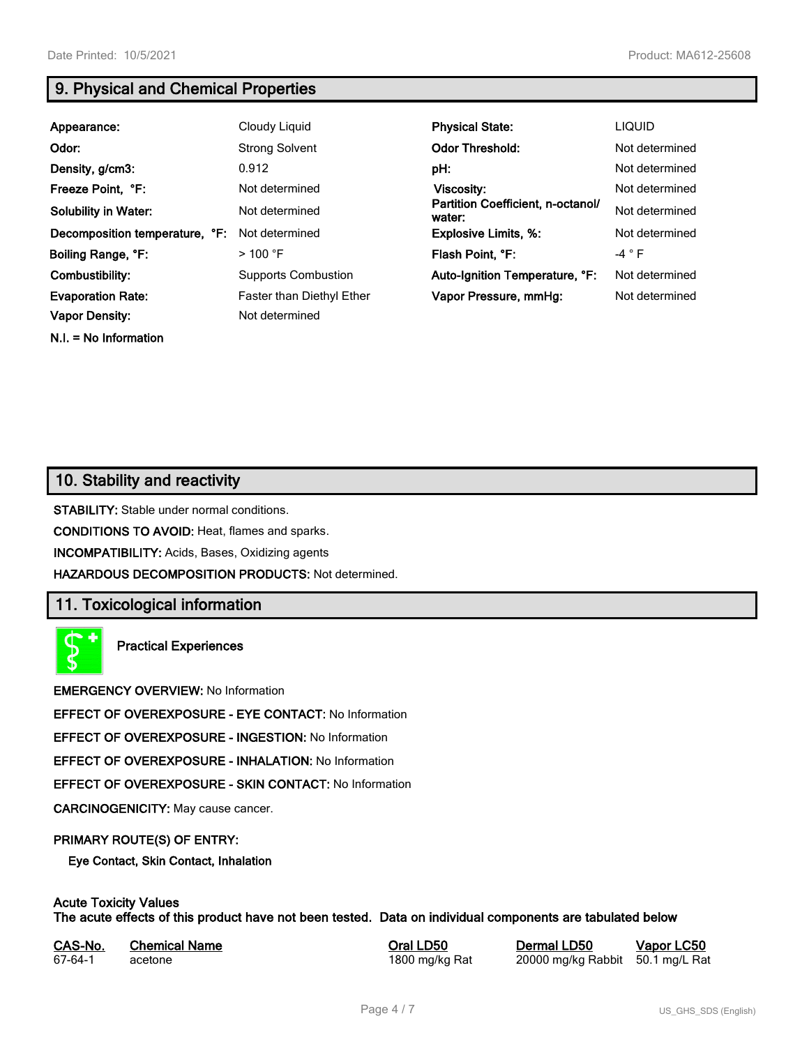**N.I. = No Information**

# **9. Physical and Chemical Properties**

| Appearance:                    | Cloudy Liquid              | <b>Physical State:</b>                      | <b>LIQUID</b>  |
|--------------------------------|----------------------------|---------------------------------------------|----------------|
| Odor:                          | <b>Strong Solvent</b>      | <b>Odor Threshold:</b>                      | Not determined |
| Density, g/cm3:                | 0.912                      | pH:                                         | Not determined |
| Freeze Point, °F:              | Not determined             | Viscosity:                                  | Not determined |
| <b>Solubility in Water:</b>    | Not determined             | Partition Coefficient, n-octanol/<br>water: | Not determined |
| Decomposition temperature, °F: | Not determined             | <b>Explosive Limits, %:</b>                 | Not determined |
| Boiling Range, °F:             | $>100$ °F                  | Flash Point, °F:                            | $-4$ $\circ$ F |
| Combustibility:                | <b>Supports Combustion</b> | Auto-Ignition Temperature, °F:              | Not determined |
| <b>Evaporation Rate:</b>       | Faster than Diethyl Ether  | Vapor Pressure, mmHg:                       | Not determined |
| <b>Vapor Density:</b>          | Not determined             |                                             |                |

## **10. Stability and reactivity**

**STABILITY:** Stable under normal conditions.

**CONDITIONS TO AVOID:** Heat, flames and sparks.

**INCOMPATIBILITY:** Acids, Bases, Oxidizing agents

**HAZARDOUS DECOMPOSITION PRODUCTS:** Not determined.

## **11. Toxicological information**

**Practical Experiences**

**EMERGENCY OVERVIEW:** No Information

**EFFECT OF OVEREXPOSURE - EYE CONTACT:** No Information

**EFFECT OF OVEREXPOSURE - INGESTION:** No Information

**EFFECT OF OVEREXPOSURE - INHALATION:** No Information

**EFFECT OF OVEREXPOSURE - SKIN CONTACT:** No Information

**CARCINOGENICITY:** May cause cancer.

#### **PRIMARY ROUTE(S) OF ENTRY:**

**Eye Contact, Skin Contact, Inhalation**

## **Acute Toxicity Values**

**The acute effects of this product have not been tested. Data on individual components are tabulated below**

| CAS-No. | <b>Chemical Name</b> |  |
|---------|----------------------|--|
| 67-64-1 | acetone              |  |

**CASA-No. 25 Correl CONO. In the CAS-No. 10 CONO. In the CAS-No. 10 CONO. In the CAS-No. 10 CONO. 10 CONO. 10 CONO. 10 CONO. 10 CONO. 10 CONO. 10 CONO. 10 CONO. 10 CONO. 10 CONO. 10 CONO. 10 CONO. 10 CONO. 10 CONO. 10 CONO** 1800 mg/kg Rat 20000 mg/kg Rabbit 50.1 mg/L Rat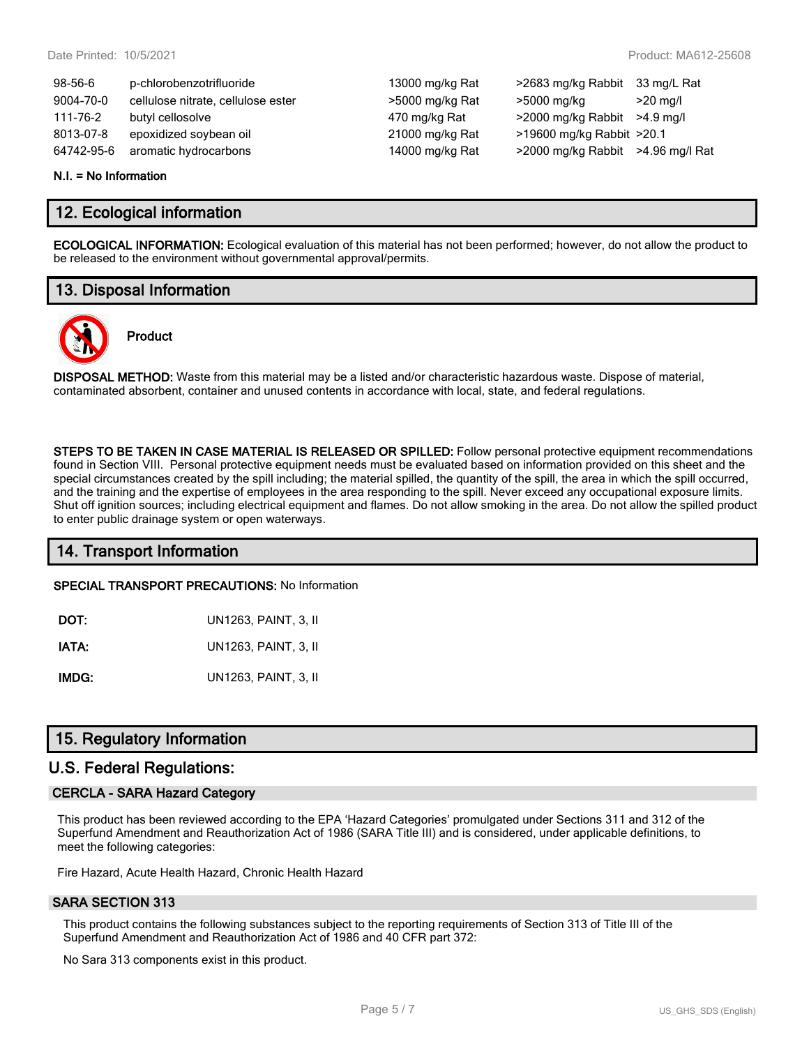| $98 - 56 - 6$ | p-chlorobenzotrifluoride           | 13000 mg/kg Rat | >2683 mg/kg Rabbit                | 33 mg/L Rat        |
|---------------|------------------------------------|-----------------|-----------------------------------|--------------------|
| 9004-70-0     | cellulose nitrate, cellulose ester | >5000 mg/kg Rat | >5000 mg/kg                       | $>20 \text{ ma/l}$ |
| 111-76-2      | butyl cellosolve                   | 470 mg/kg Rat   | $>2000$ mg/kg Rabbit $>4.9$ mg/l  |                    |
| 8013-07-8     | epoxidized soybean oil             | 21000 mg/kg Rat | >19600 mg/kg Rabbit >20.1         |                    |
| 64742-95-6    | aromatic hydrocarbons              | 14000 mg/kg Rat | >2000 mg/kg Rabbit >4.96 mg/l Rat |                    |

#### **N.I. = No Information**

## **12. Ecological information**

**ECOLOGICAL INFORMATION:** Ecological evaluation of this material has not been performed; however, do not allow the product to be released to the environment without governmental approval/permits.

## **13. Disposal Information**



# **Product**

**DISPOSAL METHOD:** Waste from this material may be a listed and/or characteristic hazardous waste. Dispose of material, contaminated absorbent, container and unused contents in accordance with local, state, and federal regulations.

**STEPS TO BE TAKEN IN CASE MATERIAL IS RELEASED OR SPILLED:** Follow personal protective equipment recommendations found in Section VIII. Personal protective equipment needs must be evaluated based on information provided on this sheet and the special circumstances created by the spill including; the material spilled, the quantity of the spill, the area in which the spill occurred, and the training and the expertise of employees in the area responding to the spill. Never exceed any occupational exposure limits. Shut off ignition sources; including electrical equipment and flames. Do not allow smoking in the area. Do not allow the spilled product to enter public drainage system or open waterways.

## **14. Transport Information**

**SPECIAL TRANSPORT PRECAUTIONS:** No Information

| DOT:  | UN1263, PAINT, 3, II |
|-------|----------------------|
| IATA: | UN1263, PAINT, 3, II |

**IMDG:** UN1263, PAINT, 3, II

## **15. Regulatory Information**

## **U.S. Federal Regulations:**

#### **CERCLA - SARA Hazard Category**

This product has been reviewed according to the EPA 'Hazard Categories' promulgated under Sections 311 and 312 of the Superfund Amendment and Reauthorization Act of 1986 (SARA Title III) and is considered, under applicable definitions, to meet the following categories:

Fire Hazard, Acute Health Hazard, Chronic Health Hazard

#### **SARA SECTION 313**

This product contains the following substances subject to the reporting requirements of Section 313 of Title III of the Superfund Amendment and Reauthorization Act of 1986 and 40 CFR part 372:

No Sara 313 components exist in this product.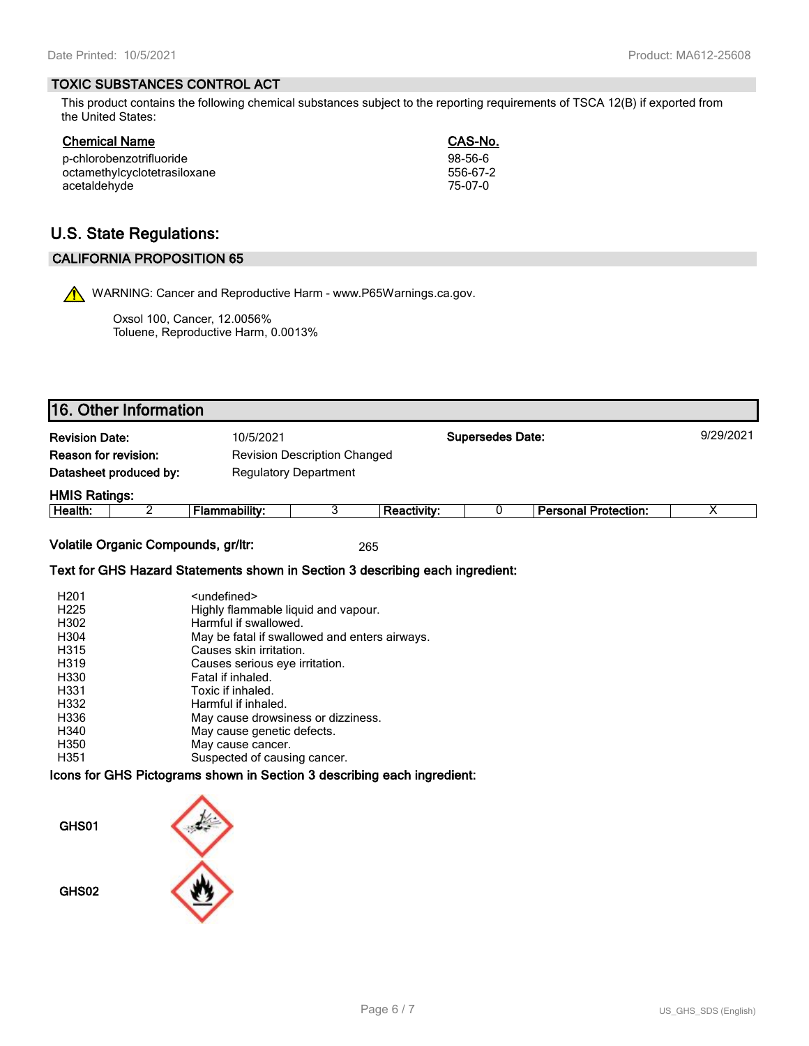#### **TOXIC SUBSTANCES CONTROL ACT**

This product contains the following chemical substances subject to the reporting requirements of TSCA 12(B) if exported from the United States:

| p-chlorobenzotrifluoride     | 98-56-6  |
|------------------------------|----------|
| octamethylcyclotetrasiloxane | 556-67-2 |
| acetaldehyde                 | 75-07-0  |

CAS-No. 98-56-6<br>556-67-2

# **U.S. State Regulations:**

## **CALIFORNIA PROPOSITION 65**

WARNING: Cancer and Reproductive Harm - www.P65Warnings.ca.gov.

Oxsol 100, Cancer, 12.0056% Toluene, Reproductive Harm, 0.0013%

| <b>Revision Date:</b>       |   | 10/5/2021                           |  |                    | <b>Supersedes Date:</b> |                             |   |
|-----------------------------|---|-------------------------------------|--|--------------------|-------------------------|-----------------------------|---|
| <b>Reason for revision:</b> |   | <b>Revision Description Changed</b> |  |                    |                         |                             |   |
| Datasheet produced by:      |   | <b>Regulatory Department</b>        |  |                    |                         |                             |   |
| <b>HMIS Ratings:</b>        |   |                                     |  |                    |                         |                             |   |
| Health:                     | ⌒ | Flammability:                       |  | <b>Reactivity:</b> |                         | <b>Personal Protection:</b> | Х |

#### **Text for GHS Hazard Statements shown in Section 3 describing each ingredient:**

| H <sub>201</sub>  | <undefined></undefined>                       |
|-------------------|-----------------------------------------------|
| H <sub>225</sub>  | Highly flammable liquid and vapour.           |
| H302              | Harmful if swallowed.                         |
| H304              | May be fatal if swallowed and enters airways. |
| H315              | Causes skin irritation.                       |
| H <sub>3</sub> 19 | Causes serious eye irritation.                |
| H330              | Fatal if inhaled.                             |
| H331              | Toxic if inhaled.                             |
| H332              | Harmful if inhaled.                           |
| H336              | May cause drowsiness or dizziness.            |
| H340              | May cause genetic defects.                    |
| H350              | May cause cancer.                             |
| H351              | Suspected of causing cancer.                  |

#### **Icons for GHS Pictograms shown in Section 3 describing each ingredient:**